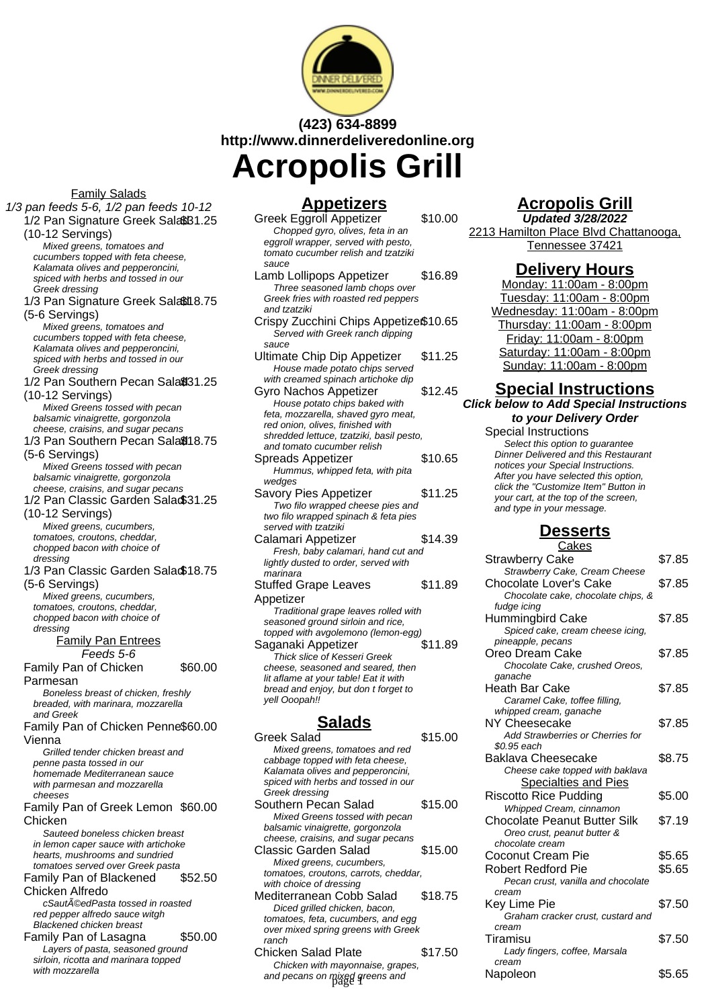

# **(423) 634-8899 http://www.dinnerdeliveredonline.org Acropolis Grill**

Family Salads 1/3 pan feeds 5-6, 1/2 pan feeds 10-12 1/2 Pan Signature Greek Sala\$B1.25 (10-12 Servings) Mixed greens, tomatoes and cucumbers topped with feta cheese, Kalamata olives and pepperoncini, spiced with herbs and tossed in our Greek dressing 1/3 Pan Signature Greek Salati 8.75 (5-6 Servings) Mixed greens, tomatoes and cucumbers topped with feta cheese, Kalamata olives and pepperoncini, spiced with herbs and tossed in our Greek dressing 1/2 Pan Southern Pecan Sala® 31.25 (10-12 Servings) Mixed Greens tossed with pecan balsamic vinaigrette, gorgonzola cheese, craisins, and sugar pecans 1/3 Pan Southern Pecan Sala@18.75 (5-6 Servings) Mixed Greens tossed with pecan balsamic vinaigrette, gorgonzola cheese, craisins, and sugar pecans 1/2 Pan Classic Garden Salad \$31.25 (10-12 Servings) Mixed greens, cucumbers, tomatoes, croutons, cheddar, chopped bacon with choice of dressing 1/3 Pan Classic Garden Salad \$18.75 (5-6 Servings) Mixed greens, cucumbers, tomatoes, croutons, cheddar, chopped bacon with choice of dressing Family Pan Entrees Feeds 5-6 Family Pan of Chicken Parmesan \$60.00 Boneless breast of chicken, freshly breaded, with marinara, mozzarella and Greek Family Pan of Chicken Penne \$60.00 Vienna Grilled tender chicken breast and penne pasta tossed in our homemade Mediterranean sauce with parmesan and mozzarella cheeses Family Pan of Greek Lemon \$60.00 Chicken Sauteed boneless chicken breast in lemon caper sauce with artichoke hearts, mushrooms and sundried tomatoes served over Greek pasta Family Pan of Blackened Chicken Alfredo \$52.50 cSautéedPasta tossed in roasted red pepper alfredo sauce witgh Blackened chicken breast Family Pan of Lasagna \$50.00 Layers of pasta, seasoned ground sirloin, ricotta and marinara topped

with mozzarella

#### **Appetizers**

Greek Eggroll Appetizer \$10.00 Chopped gyro, olives, feta in an eggroll wrapper, served with pesto, tomato cucumber relish and tzatziki sauce

- Lamb Lollipops Appetizer \$16.89 Three seasoned lamb chops over Greek fries with roasted red peppers and tzatziki Crispy Zucchini Chips Appetize $$10.65$ Served with Greek ranch dipping sauce
- Ultimate Chip Dip Appetizer \$11.25 House made potato chips served with creamed spinach artichoke dip
- Gyro Nachos Appetizer \$12.45 House potato chips baked with feta, mozzarella, shaved gyro meat, red onion, olives, finished with shredded lettuce, tzatziki, basil pesto, and tomato cucumber relish
- Spreads Appetizer \$10.65 Hummus, whipped feta, with pita wedges
- Savory Pies Appetizer \$11.25 Two filo wrapped cheese pies and two filo wrapped spinach & feta pies served with tzatziki
- Calamari Appetizer \$14.39 Fresh, baby calamari, hand cut and liahtly dusted to order, served with marinara
- Stuffed Grape Leaves Appetizer \$11.89 Traditional grape leaves rolled with seasoned ground sirloin and rice, topped with avgolemono (lemon-egg) Saganaki Appetizer \$11.89 Thick slice of Kesseri Greek cheese, seasoned and seared, then lit aflame at your table! Eat it with bread and enjoy, but don t forget to

## **Salads**

| Greek Salad                           | \$15.00 |
|---------------------------------------|---------|
| Mixed greens, tomatoes and red        |         |
| cabbage topped with feta cheese,      |         |
| Kalamata olives and pepperoncini,     |         |
| spiced with herbs and tossed in our   |         |
| Greek dressing                        |         |
| Southern Pecan Salad                  | \$15.00 |
| Mixed Greens tossed with pecan        |         |
| balsamic vinaigrette, gorgonzola      |         |
| cheese, craisins, and sugar pecans    |         |
| Classic Garden Salad                  | \$15.00 |
| Mixed greens, cucumbers,              |         |
| tomatoes, croutons, carrots, cheddar, |         |
| with choice of dressing               |         |
| Mediterranean Cobb Salad              | \$18.75 |
| Diced grilled chicken, bacon,         |         |
| tomatoes, feta, cucumbers, and egg    |         |
| over mixed spring greens with Greek   |         |
| ranch                                 |         |
| Chicken Salad Plate                   | \$17.50 |
| Chicken with mayonnaise, grapes,      |         |

### **Delivery Hours** Monday: 11:00am - 8:00pm

Tuesday: 11:00am - 8:00pm Wednesday: 11:00am - 8:00pm Thursday: 11:00am - 8:00pm Friday: 11:00am - 8:00pm Saturday: 11:00am - 8:00pm Sunday: 11:00am - 8:00pm

**Acropolis Grill Updated 3/28/2022** 2213 Hamilton Place Blvd Chattanooga, Tennessee 37421

# **Special Instructions**

**Click below to Add Special Instructions to your Delivery Order**

Special Instructions Select this option to quarantee Dinner Delivered and this Restaurant notices your Special Instructions. After you have selected this option, click the "Customize Item" Button in your cart, at the top of the screen, and type in your message.

# **Desserts**

| αιαπιαπ πρρσιικσι                                                             | ⊕∪. דו ש | Cakes                              |        |
|-------------------------------------------------------------------------------|----------|------------------------------------|--------|
| Fresh, baby calamari, hand cut and                                            |          | <b>Strawberry Cake</b>             | \$7.85 |
| lightly dusted to order, served with<br>marinara                              |          | Strawberry Cake, Cream Cheese      |        |
|                                                                               | \$11.89  | Chocolate Lover's Cake             | \$7.85 |
| tuffed Grape Leaves                                                           |          | Chocolate cake, chocolate chips, & |        |
| ppetizer                                                                      |          | fudge icing                        |        |
| Traditional grape leaves rolled with                                          |          | Hummingbird Cake                   | \$7.85 |
| seasoned ground sirloin and rice,                                             |          | Spiced cake, cream cheese icing,   |        |
| topped with avgolemono (lemon-egg)                                            |          | pineapple, pecans                  |        |
| aganaki Appetizer                                                             | \$11.89  | Oreo Dream Cake                    | \$7.85 |
| Thick slice of Kesseri Greek                                                  |          | Chocolate Cake, crushed Oreos,     |        |
| cheese, seasoned and seared, then                                             |          | ganache                            |        |
| lit aflame at your table! Eat it with<br>bread and enjoy, but don t forget to |          | Heath Bar Cake                     | \$7.85 |
| yell Ooopah!!                                                                 |          | Caramel Cake, toffee filling,      |        |
|                                                                               |          | whipped cream, ganache             |        |
| <u>Salads</u>                                                                 |          | NY Cheesecake                      | \$7.85 |
|                                                                               |          | Add Strawberries or Cherries for   |        |
| reek Salad                                                                    | \$15.00  | \$0.95 each                        |        |
| Mixed greens, tomatoes and red                                                |          | Baklava Cheesecake                 | \$8.75 |
| cabbage topped with feta cheese,<br>Kalamata olives and pepperoncini,         |          | Cheese cake topped with baklava    |        |
| spiced with herbs and tossed in our                                           |          |                                    |        |
| Greek dressing                                                                |          | <b>Specialties and Pies</b>        |        |
| outhern Pecan Salad                                                           | \$15.00  | <b>Riscotto Rice Pudding</b>       | \$5.00 |
| Mixed Greens tossed with pecan                                                |          | Whipped Cream, cinnamon            |        |
| balsamic vinaigrette, gorgonzola                                              |          | Chocolate Peanut Butter Silk       | \$7.19 |
| cheese, craisins, and sugar pecans                                            |          | Oreo crust, peanut butter &        |        |
| lassic Garden Salad                                                           | \$15.00  | chocolate cream                    |        |
| Mixed greens, cucumbers,                                                      |          | Coconut Cream Pie                  | \$5.65 |
| tomatoes, croutons, carrots, cheddar,                                         |          | Robert Redford Pie                 | \$5.65 |
| with choice of dressing                                                       |          | Pecan crust, vanilla and chocolate |        |
| editerranean Cobb Salad                                                       | \$18.75  | cream                              |        |
| Diced grilled chicken, bacon,                                                 |          | Key Lime Pie                       | \$7.50 |
| tomatoes, feta, cucumbers, and egg                                            |          | Graham cracker crust, custard and  |        |
| over mixed spring greens with Greek                                           |          | cream                              |        |
| ranch                                                                         |          | Tiramisu                           | \$7.50 |
| hicken Salad Plate                                                            | \$17.50  | Lady fingers, coffee, Marsala      |        |
| Chicken with mayonnaise, grapes,                                              |          | cream                              |        |
| and pecans on mixed greens and                                                |          | Napoleon                           | \$5.65 |
|                                                                               |          |                                    |        |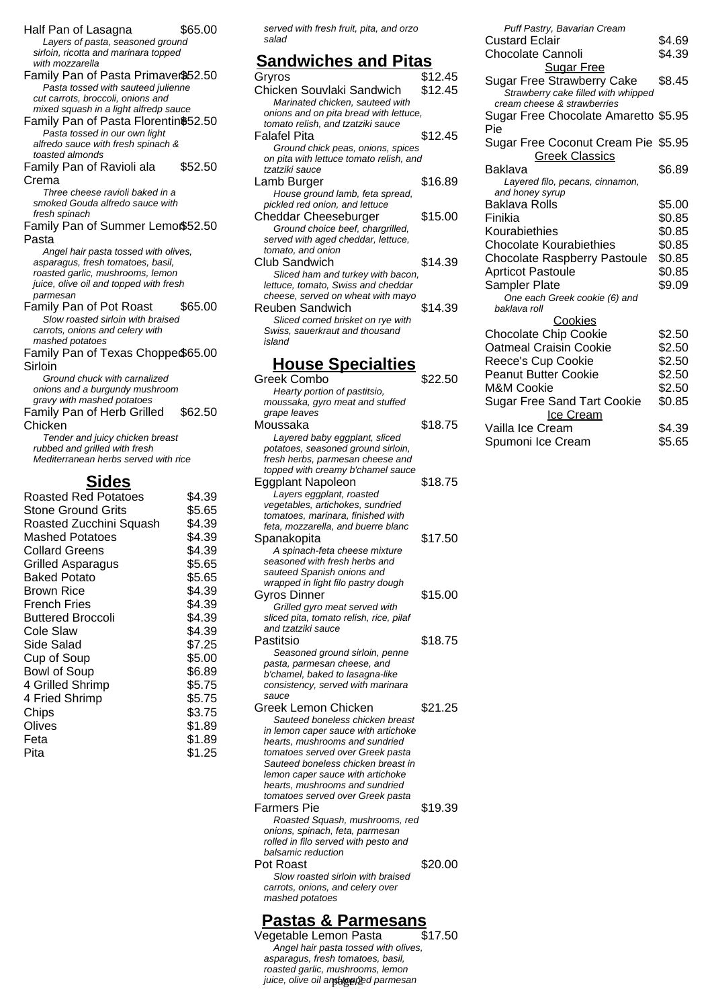Half Pan of Lasagna \$65.00 Layers of pasta, seasoned ground sirloin, ricotta and marinara topped with mozzarella Family Pan of Pasta Primaver\$52.50 Pasta tossed with sauteed julienne cut carrots, broccoli, onions and mixed squash in a light alfredp sauce Family Pan of Pasta Florentin\$52.50 Pasta tossed in our own light alfredo sauce with fresh spinach & toasted almonds Family Pan of Ravioli ala Crema \$52.50 Three cheese ravioli baked in a smoked Gouda alfredo sauce with fresh spinach Family Pan of Summer Lemon\$52.50 Pasta Angel hair pasta tossed with olives, asparagus, fresh tomatoes, basil, roasted garlic, mushrooms, lemon juice, olive oil and topped with fresh parmesan Family Pan of Pot Roast \$65.00 Slow roasted sirloin with braised carrots, onions and celery with mashed potatoes Family Pan of Texas Chopped \$65.00 **Sirloin** Ground chuck with carnalized onions and a burgundy mushroom gravy with mashed potatoes Family Pan of Herb Grilled Chicken \$62.50 Tender and juicy chicken breast rubbed and grilled with fresh Mediterranean herbs served with rice **Sides**  $d \text{ Red Potatoes}$  \$4.39

| Roasted Red Potatoes      | ৯4.39  |
|---------------------------|--------|
| <b>Stone Ground Grits</b> | \$5.65 |
| Roasted Zucchini Squash   | \$4.39 |
| Mashed Potatoes           | \$4.39 |
| <b>Collard Greens</b>     | \$4.39 |
| <b>Grilled Asparagus</b>  | \$5.65 |
| <b>Baked Potato</b>       | \$5.65 |
| Brown Rice                | \$4.39 |
| French Fries              | \$4.39 |
| <b>Buttered Broccoli</b>  | \$4.39 |
| Cole Slaw                 | \$4.39 |
| Side Salad                | \$7.25 |
| Cup of Soup               | \$5.00 |
| <b>Bowl of Soup</b>       | \$6.89 |
| 4 Grilled Shrimp          | \$5.75 |
| 4 Fried Shrimp            | \$5.75 |
| Chips                     | \$3.75 |
| Olives                    | \$1.89 |
| Feta                      | \$1.89 |
| Pita                      | \$1.25 |

served with fresh fruit, pita, and orzo salad

#### **Sandwiches and Pitas**

| Gryros                                                                 | \$12.45 |
|------------------------------------------------------------------------|---------|
| Chicken Souvlaki Sandwich                                              | \$12.45 |
| Marinated chicken, sauteed with                                        |         |
| onions and on pita bread with lettuce,                                 |         |
| tomato relish, and tzatziki sauce                                      |         |
| Falafel Pita                                                           | \$12.45 |
| Ground chick peas, onions, spices                                      |         |
| on pita with lettuce tomato relish, and                                |         |
| tzatziki sauce                                                         |         |
| Lamb Burger                                                            | \$16.89 |
| House ground lamb, feta spread,                                        |         |
| pickled red onion, and lettuce                                         |         |
| Cheddar Cheeseburger                                                   | \$15.00 |
| Ground choice beef, chargrilled,<br>served with aged cheddar, lettuce, |         |
| tomato, and onion                                                      |         |
| Club Sandwich                                                          | \$14.39 |
| Sliced ham and turkey with bacon,                                      |         |
| lettuce, tomato, Swiss and cheddar                                     |         |
| cheese, served on wheat with mayo                                      |         |
| Reuben Sandwich                                                        | \$14.39 |
| Sliced corned brisket on rye with                                      |         |
| Swiss, sauerkraut and thousand                                         |         |
| island                                                                 |         |
|                                                                        |         |

#### **House Specialties**

| <b>Greek Combo</b>                      | \$22.50 |
|-----------------------------------------|---------|
| Hearty portion of pastitsio,            |         |
| moussaka, gyro meat and stuffed         |         |
| grape leaves                            |         |
| Moussaka                                | \$18.75 |
| Layered baby eggplant, sliced           |         |
| potatoes, seasoned ground sirloin,      |         |
| fresh herbs, parmesan cheese and        |         |
| topped with creamy b'chamel sauce       |         |
| Eggplant Napoleon                       | \$18.75 |
| Layers eggplant, roasted                |         |
| vegetables, artichokes, sundried        |         |
| tomatoes, marinara, finished with       |         |
| feta, mozzarella, and buerre blanc      |         |
|                                         | \$17.50 |
| Spanakopita                             |         |
| A spinach-feta cheese mixture           |         |
| seasoned with fresh herbs and           |         |
| sauteed Spanish onions and              |         |
| wrapped in light filo pastry dough      |         |
| Gyros Dinner                            | \$15.00 |
| Grilled gyro meat served with           |         |
| sliced pita, tomato relish, rice, pilaf |         |
| and tzatziki sauce                      |         |
| Pastitsio                               | \$18.75 |
| Seasoned ground sirloin, penne          |         |
| pasta, parmesan cheese, and             |         |
| b'chamel, baked to lasagna-like         |         |
| consistency, served with marinara       |         |
| sauce                                   |         |
| Greek Lemon Chicken                     | \$21.25 |
| Sauteed boneless chicken breast         |         |
| in lemon caper sauce with artichoke     |         |
| hearts, mushrooms and sundried          |         |
| tomatoes served over Greek pasta        |         |
| Sauteed boneless chicken breast in      |         |
| lemon caper sauce with artichoke        |         |
| hearts, mushrooms and sundried          |         |
| tomatoes served over Greek pasta        |         |
| <b>Farmers Pie</b>                      | \$19.39 |
| Roasted Squash, mushrooms, red          |         |
| onions, spinach, feta, parmesan         |         |
| rolled in filo served with pesto and    |         |
| balsamic reduction                      |         |
| Pot Roast                               | \$20.00 |
| Slow roasted sirloin with braised       |         |
| carrots, onions, and celery over        |         |
| mashed potatoes                         |         |
|                                         |         |

# **Pastas & Parmesans**

Vegetable Lemon Pasta Angel hair pasta tossed with olives, asparagus, fresh tomatoes, basil, roasted garlic, mushrooms, lemon juice, olive oil and topped parmesan

| Puff Pastry, Bavarian Cream                        |        |
|----------------------------------------------------|--------|
| Custard Eclair                                     | \$4.69 |
| <b>Chocolate Cannoli</b>                           | \$4.39 |
| <b>Sugar Free</b>                                  |        |
| <b>Sugar Free Strawberry Cake</b>                  | \$8.45 |
| Strawberry cake filled with whipped                |        |
| cream cheese & strawberries                        |        |
| Sugar Free Chocolate Amaretto \$5.95               |        |
| Pie                                                |        |
| Sugar Free Coconut Cream Pie \$5.95                |        |
| <b>Greek Classics</b>                              |        |
| Baklava                                            | \$6.89 |
| Layered filo, pecans, cinnamon,<br>and honey syrup |        |
| Baklava Rolls                                      | \$5.00 |
| Finikia                                            | \$0.85 |
| Kourabiethies                                      | \$0.85 |
| <b>Chocolate Kourabiethies</b>                     | \$0.85 |
| <b>Chocolate Raspberry Pastoule</b>                | \$0.85 |
| <b>Aprticot Pastoule</b>                           | \$0.85 |
| Sampler Plate                                      | \$9.09 |
| One each Greek cookie (6) and                      |        |
| baklava roll                                       |        |
| Cookies                                            |        |
| <b>Chocolate Chip Cookie</b>                       | \$2.50 |
| <b>Oatmeal Craisin Cookie</b>                      | \$2.50 |
| Reece's Cup Cookie                                 | \$2.50 |
| <b>Peanut Butter Cookie</b>                        | \$2.50 |
| <b>M&amp;M Cookie</b>                              | \$2.50 |
| <b>Sugar Free Sand Tart Cookie</b>                 | \$0.85 |
| Ice Cream                                          |        |
| Vailla Ice Cream                                   | \$4.39 |
| Spumoni Ice Cream                                  | \$5.65 |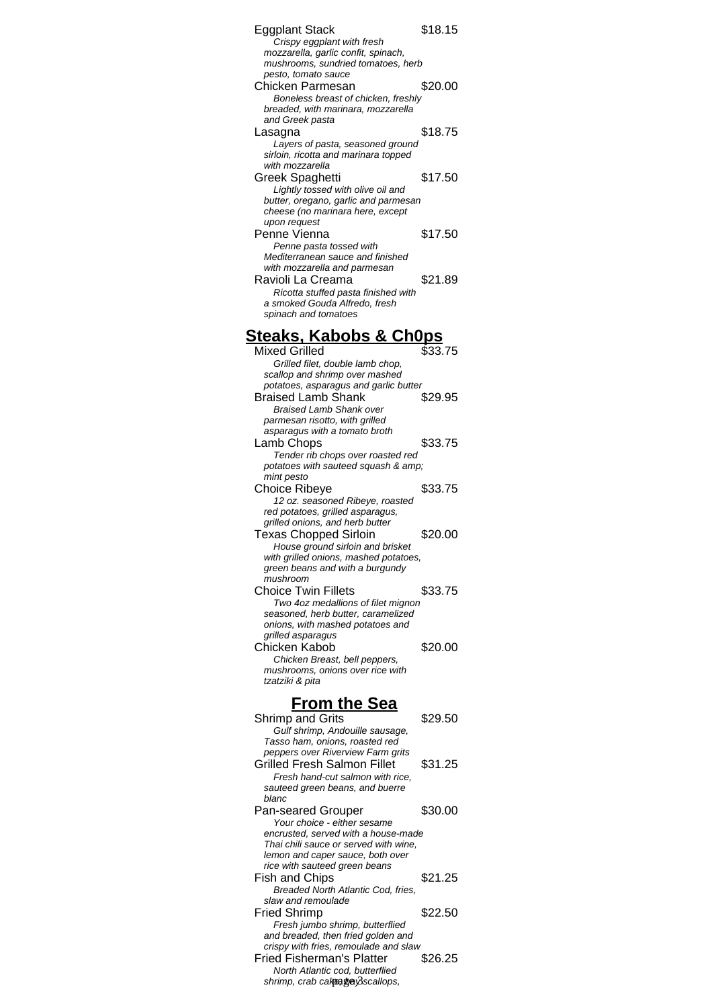| Eggplant Stack                                                            | \$18.15 |
|---------------------------------------------------------------------------|---------|
| Crispy eggplant with fresh<br>mozzarella, garlic confit, spinach,         |         |
| mushrooms, sundried tomatoes, herb                                        |         |
| pesto, tomato sauce                                                       |         |
| Chicken Parmesan                                                          | \$20.00 |
| Boneless breast of chicken, freshly<br>breaded, with marinara, mozzarella |         |
| and Greek pasta                                                           |         |
| Lasagna                                                                   | \$18.75 |
| Layers of pasta, seasoned ground                                          |         |
| sirloin, ricotta and marinara topped                                      |         |
| with mozzarella<br><b>Greek Spaghetti</b>                                 | \$17.50 |
| Lightly tossed with olive oil and                                         |         |
| butter, oregano, garlic and parmesan                                      |         |
| cheese (no marinara here, except                                          |         |
| upon request                                                              |         |
| Penne Vienna<br>Penne pasta tossed with                                   | \$17.50 |
| Mediterranean sauce and finished                                          |         |
| with mozzarella and parmesan                                              |         |
| Ravioli La Creama                                                         | \$21.89 |
| Ricotta stuffed pasta finished with                                       |         |
| a smoked Gouda Alfredo, fresh<br>spinach and tomatoes                     |         |
|                                                                           |         |
| <u> Steaks, Kabobs &amp; Ch0ps</u>                                        |         |
| <b>Mixed Grilled</b>                                                      | \$33.75 |
| Grilled filet, double lamb chop,                                          |         |
| scallop and shrimp over mashed                                            |         |
| potatoes, asparagus and garlic butter                                     |         |
| <b>Braised Lamb Shank</b><br><b>Braised Lamb Shank over</b>               | \$29.95 |
| parmesan risotto, with grilled                                            |         |
| asparagus with a tomato broth                                             |         |
| Lamb Chops                                                                | \$33.75 |
| Tender rib chops over roasted red                                         |         |
| potatoes with sauteed squash & amp;<br>mint pesto                         |         |
| <b>Choice Ribeye</b>                                                      | \$33.75 |
| 12 oz. seasoned Ribeye, roasted                                           |         |
| red potatoes, grilled asparagus,                                          |         |
| grilled onions, and herb butter                                           |         |
|                                                                           |         |
| <b>Texas Chopped Sirloin</b>                                              | \$20.00 |
| House ground sirloin and brisket                                          |         |
| with grilled onions, mashed potatoes,<br>green beans and with a burgundy  |         |
| mushroom                                                                  |         |
| <b>Choice Twin Fillets</b>                                                | \$33.75 |
| Two 4oz medallions of filet mignon                                        |         |
| seasoned, herb butter, caramelized<br>onions, with mashed potatoes and    |         |
| grilled asparagus                                                         |         |
| Chicken Kabob                                                             | \$20.00 |
| Chicken Breast, bell peppers,                                             |         |
| mushrooms, onions over rice with<br>tzatziki & pita                       |         |
|                                                                           |         |
| <b>From the Sea</b>                                                       |         |
| <b>Shrimp and Grits</b>                                                   | \$29.50 |
| Gulf shrimp, Andouille sausage,                                           |         |
| Tasso ham, onions, roasted red                                            |         |
| peppers over Riverview Farm grits<br><b>Grilled Fresh Salmon Fillet</b>   | \$31.25 |
| Fresh hand-cut salmon with rice,                                          |         |
| sauteed green beans, and buerre                                           |         |
| blanc                                                                     |         |
| <b>Pan-seared Grouper</b>                                                 | \$30.00 |
| Your choice - either sesame<br>encrusted, served with a house-made        |         |
| Thai chili sauce or served with wine,                                     |         |
| lemon and caper sauce, both over                                          |         |
| rice with sauteed green beans                                             |         |
| Fish and Chips<br>Breaded North Atlantic Cod, fries,                      | \$21.25 |
| slaw and remoulade                                                        |         |
| <b>Fried Shrimp</b>                                                       | \$22.50 |
| Fresh jumbo shrimp, butterflied                                           |         |
| and breaded, then fried golden and                                        |         |
| crispy with fries, remoulade and slaw                                     | \$26.25 |
| <b>Fried Fisherman's Platter</b><br>North Atlantic cod, butterflied       |         |
| shrimp, crab cakeaφaβscallops,                                            |         |